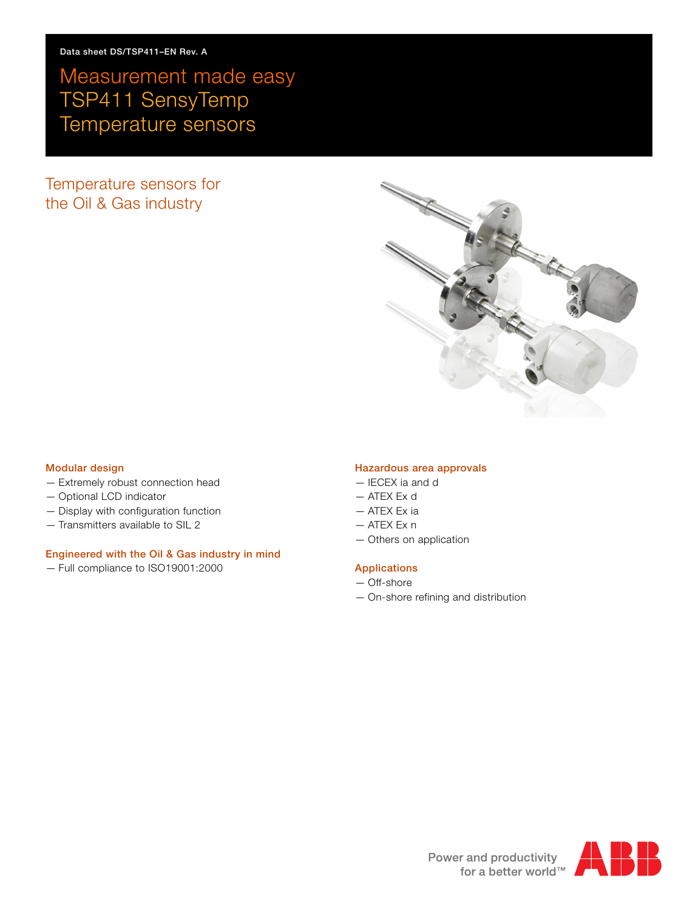# Measurement made easy TSP411 SensyTemp Temperature sensors

Temperature sensors for the Oil & Gas industry



#### **Modular design**

- Extremely robust connection head
- Optional LCD indicator
- Display with configuration function
- Transmitters available to SIL 2

### **Engineered with the Oil & Gas industry in mind**

— Full compliance to ISO19001:2000

### **Hazardous area approvals**

- IECEX ia and d
- ATEX Ex d
- ATEX Ex ia
- ATEX Ex n
- Others on application

### **Applications**

- Off-shore
- On-shore refining and distribution

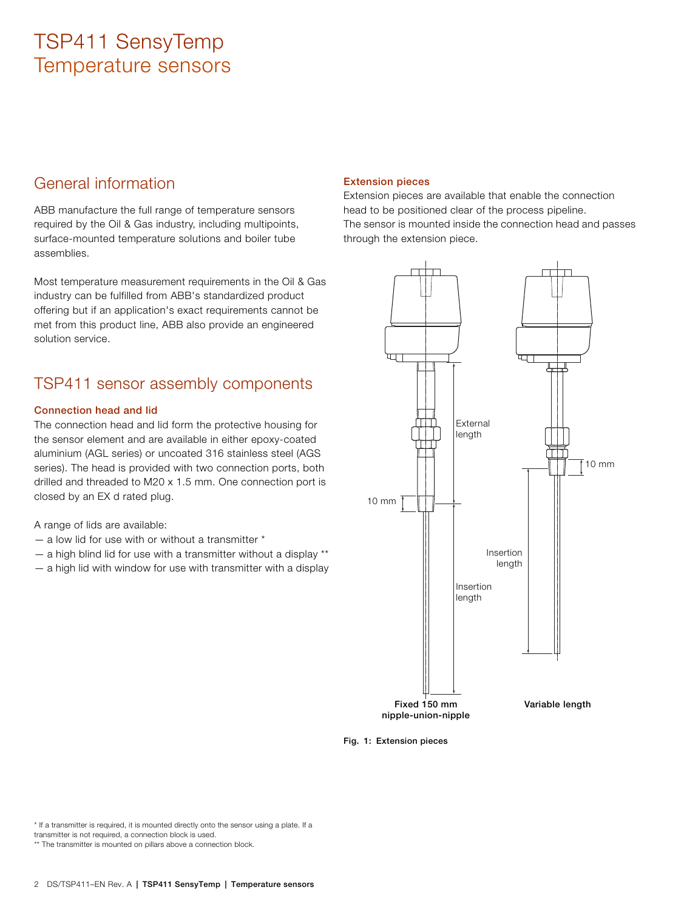## General information

ABB manufacture the full range of temperature sensors required by the Oil & Gas industry, including multipoints, surface-mounted temperature solutions and boiler tube assemblies.

Most temperature measurement requirements in the Oil & Gas industry can be fulfilled from ABB's standardized product offering but if an application's exact requirements cannot be met from this product line, ABB also provide an engineered solution service.

## TSP411 sensor assembly components

### **Connection head and lid**

The connection head and lid form the protective housing for the sensor element and are available in either epoxy-coated aluminium (AGL series) or uncoated 316 stainless steel (AGS series). The head is provided with two connection ports, both drilled and threaded to M20 x 1.5 mm. One connection port is closed by an EX d rated plug.

A range of lids are available:

- $-$  a low lid for use with or without a transmitter  $*$
- $-$  a high blind lid for use with a transmitter without a display  $**$
- a high lid with window for use with transmitter with a display

### **Extension pieces**

Extension pieces are available that enable the connection head to be positioned clear of the process pipeline. The sensor is mounted inside the connection head and passes through the extension piece.



**Fig. 1: Extension pieces**

\* If a transmitter is required, it is mounted directly onto the sensor using a plate. If a transmitter is not required, a connection block is used.

\*\* The transmitter is mounted on pillars above a connection block.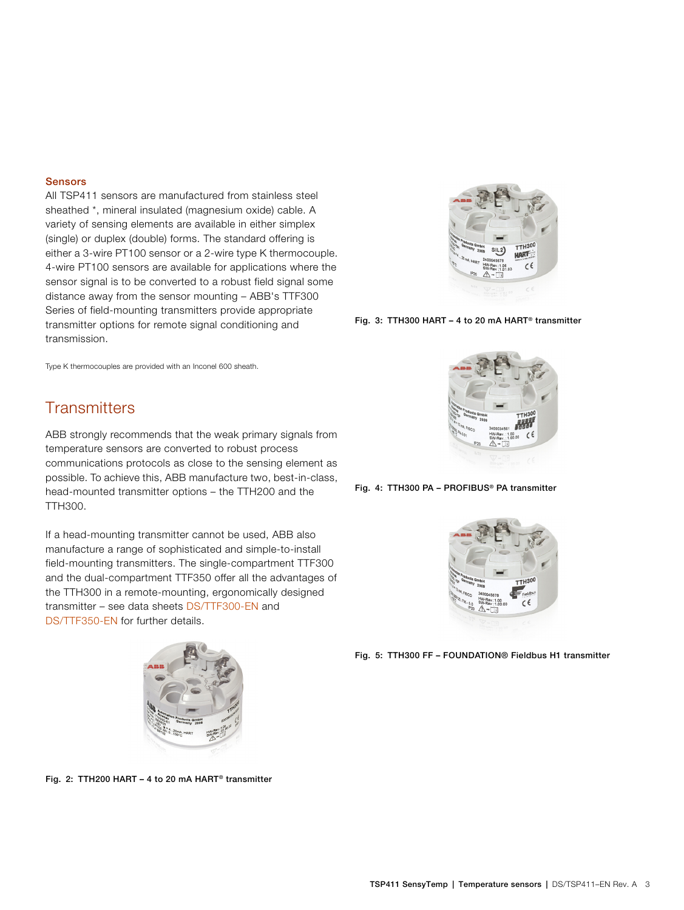#### **Sensors**

All TSP411 sensors are manufactured from stainless steel sheathed \*, mineral insulated (magnesium oxide) cable. A variety of sensing elements are available in either simplex (single) or duplex (double) forms. The standard offering is either a 3-wire PT100 sensor or a 2-wire type K thermocouple. 4-wire PT100 sensors are available for applications where the sensor signal is to be converted to a robust field signal some distance away from the sensor mounting – ABB's TTF300 Series of field-mounting transmitters provide appropriate transmitter options for remote signal conditioning and transmission.



**Fig. 3: TTH300 HART – 4 to 20 mA HART® transmitter**

Type K thermocouples are provided with an Inconel 600 sheath.

### **Transmitters**

ABB strongly recommends that the weak primary signals from temperature sensors are converted to robust process communications protocols as close to the sensing element as possible. To achieve this, ABB manufacture two, best-in-class, head-mounted transmitter options – the TTH200 and the TTH300.

If a head-mounting transmitter cannot be used, ABB also manufacture a range of sophisticated and simple-to-install field-mounting transmitters. The single-compartment TTF300 and the dual-compartment TTF350 offer all the advantages of the TTH300 in a remote-mounting, ergonomically designed transmitter – see data sheets [DS/TTF300-EN](http://search.abb.com/library/Download.aspx?DocumentID=DS/TTF300-EN&LanguageCode=en&DocumentPartId=&Action=Launch) and [DS/TTF350-EN](http://search.abb.com/library/Download.aspx?DocumentID=DS/TTF350-EN&LanguageCode=en&DocumentPartId=&Action=Launch) for further details.







**Fig. 4: TTH300 PA – PROFIBUS® PA transmitter**



**Fig. 5: TTH300 FF – FOUNDATION® Fieldbus H1 transmitter**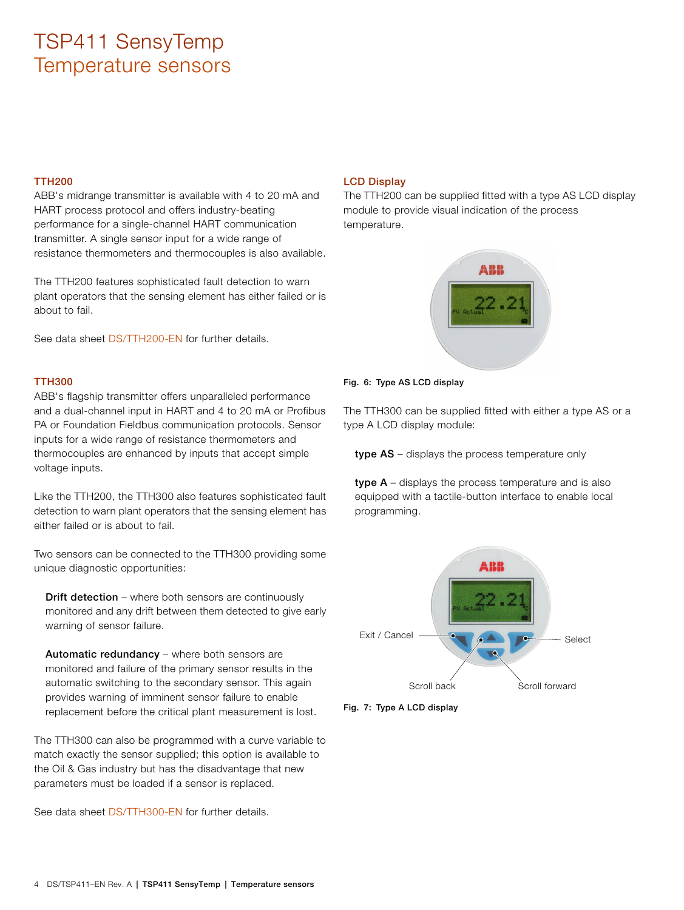### **TTH200**

ABB's midrange transmitter is available with 4 to 20 mA and HART process protocol and offers industry-beating performance for a single-channel HART communication transmitter. A single sensor input for a wide range of resistance thermometers and thermocouples is also available.

The TTH200 features sophisticated fault detection to warn plant operators that the sensing element has either failed or is about to fail.

See data sheet [DS/TTH200-EN](http://search.abb.com/library/Download.aspx?DocumentID=DS/TTH200-EN&LanguageCode=en&DocumentPartId=&Action=Launch) for further details.

#### **TTH300**

ABB's flagship transmitter offers unparalleled performance and a dual-channel input in HART and 4 to 20 mA or Profibus PA or Foundation Fieldbus communication protocols. Sensor inputs for a wide range of resistance thermometers and thermocouples are enhanced by inputs that accept simple voltage inputs.

Like the TTH200, the TTH300 also features sophisticated fault detection to warn plant operators that the sensing element has either failed or is about to fail.

Two sensors can be connected to the TTH300 providing some unique diagnostic opportunities:

**Drift detection** – where both sensors are continuously monitored and any drift between them detected to give early warning of sensor failure.

**Automatic redundancy** – where both sensors are monitored and failure of the primary sensor results in the automatic switching to the secondary sensor. This again provides warning of imminent sensor failure to enable replacement before the critical plant measurement is lost.

The TTH300 can also be programmed with a curve variable to match exactly the sensor supplied; this option is available to the Oil & Gas industry but has the disadvantage that new parameters must be loaded if a sensor is replaced.

See data sheet [DS/TTH300-EN](http://search.abb.com/library/Download.aspx?DocumentID=DS/TTH300-EN&LanguageCode=en&DocumentPartId=&Action=Launch) for further details.

### **LCD Display**

The TTH200 can be supplied fitted with a type AS LCD display module to provide visual indication of the process temperature.



#### **Fig. 6: Type AS LCD display**

The TTH300 can be supplied fitted with either a type AS or a type A LCD display module:

**type AS** – displays the process temperature only

**type A** – displays the process temperature and is also equipped with a tactile-button interface to enable local programming.



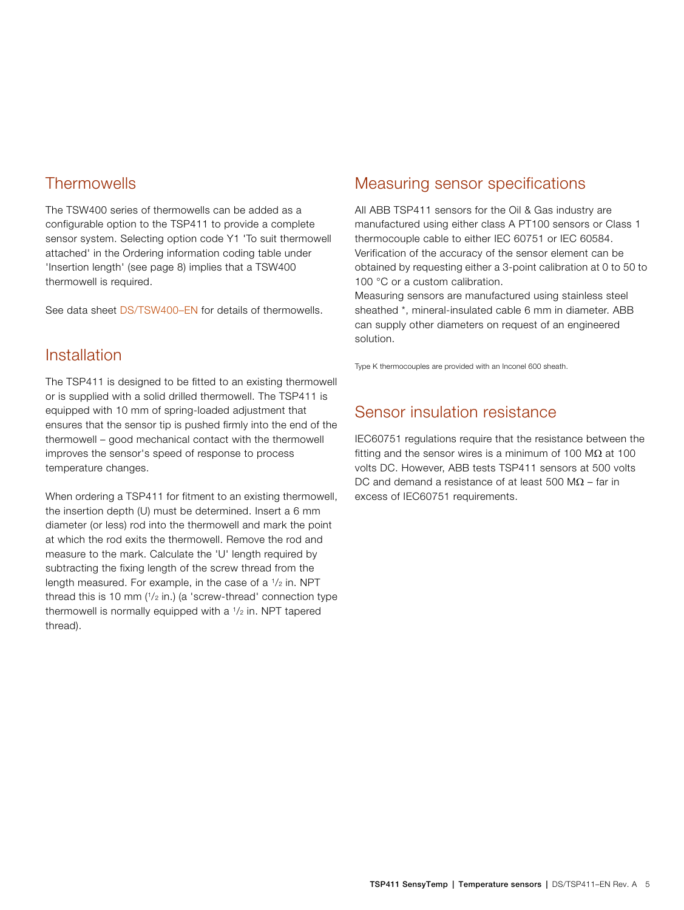### **Thermowells**

The TSW400 series of thermowells can be added as a configurable option to the TSP411 to provide a complete sensor system. Selecting option code Y1 'To suit thermowell attached' in the Ordering information coding table under 'Insertion length' (see page [8](#page-7-0)) implies that a TSW400 thermowell is required.

See data sheet [DS/TSW400–EN](http://search.abb.com/library/Download.aspx?DocumentID=DS/TSW400-EN&LanguageCode=en&DocumentPartId=&Action=Launch) for details of thermowells.

### Installation

The TSP411 is designed to be fitted to an existing thermowell or is supplied with a solid drilled thermowell. The TSP411 is equipped with 10 mm of spring-loaded adjustment that ensures that the sensor tip is pushed firmly into the end of the thermowell – good mechanical contact with the thermowell improves the sensor's speed of response to process temperature changes.

When ordering a TSP411 for fitment to an existing thermowell, the insertion depth (U) must be determined. Insert a 6 mm diameter (or less) rod into the thermowell and mark the point at which the rod exits the thermowell. Remove the rod and measure to the mark. Calculate the 'U' length required by subtracting the fixing length of the screw thread from the length measured. For example, in the case of a  $1/2$  in. NPT thread this is 10 mm  $(1/2 \text{ in.})$  (a 'screw-thread' connection type thermowell is normally equipped with a  $1/2$  in. NPT tapered thread).

### Measuring sensor specifications

All ABB TSP411 sensors for the Oil & Gas industry are manufactured using either class A PT100 sensors or Class 1 thermocouple cable to either IEC 60751 or IEC 60584. Verification of the accuracy of the sensor element can be obtained by requesting either a 3-point calibration at 0 to 50 to 100 °C or a custom calibration.

Measuring sensors are manufactured using stainless steel sheathed \*, mineral-insulated cable 6 mm in diameter. ABB can supply other diameters on request of an engineered solution.

Type K thermocouples are provided with an Inconel 600 sheath.

### Sensor insulation resistance

IEC60751 regulations require that the resistance between the fitting and the sensor wires is a minimum of 100 M $\Omega$  at 100 volts DC. However, ABB tests TSP411 sensors at 500 volts DC and demand a resistance of at least 500 M $\Omega$  – far in excess of IEC60751 requirements.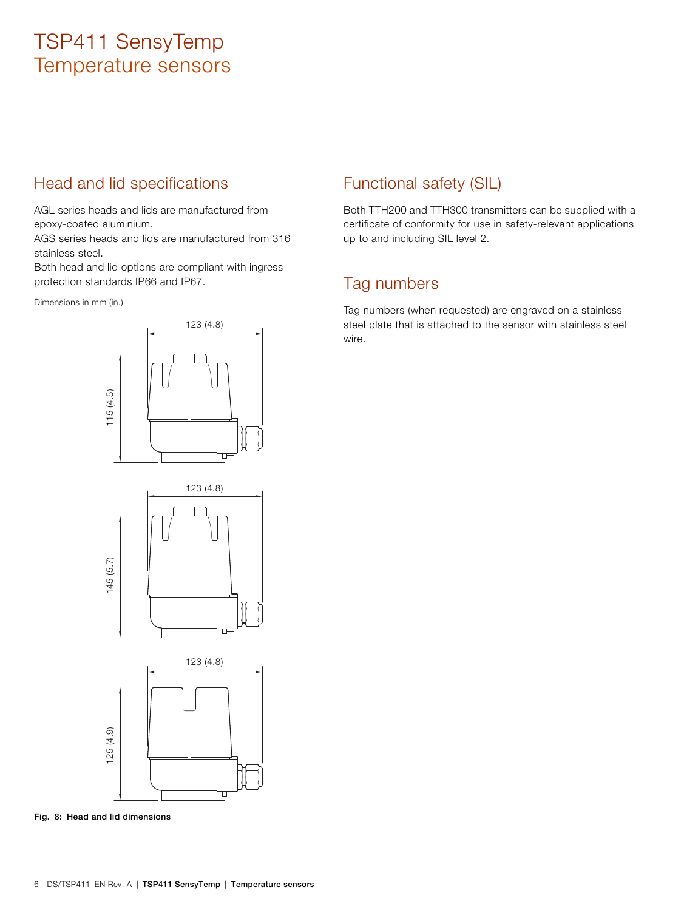## Head and lid specifications

AGL series heads and lids are manufactured from epoxy-coated aluminium.

AGS series heads and lids are manufactured from 316 stainless steel.

Both head and lid options are compliant with ingress protection standards IP66 and IP67.

Dimensions in mm (in.)

## Functional safety (SIL)

Both TTH200 and TTH300 transmitters can be supplied with a certificate of conformity for use in safety-relevant applications up to and including SIL level 2.

### Tag numbers

Tag numbers (when requested) are engraved on a stainless steel plate that is attached to the sensor with stainless steel wire.



**Fig. 8: Head and lid dimensions**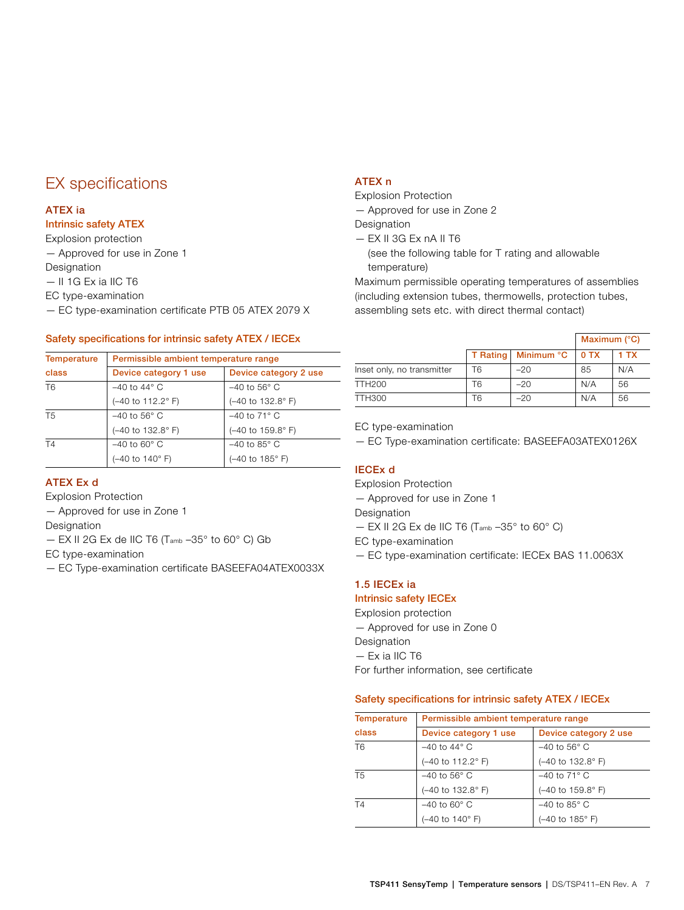## EX specifications

### **ATEX ia**

### **Intrinsic safety ATEX**

Explosion protection

— Approved for use in Zone 1

Designation

— II 1G Ex ia IIC T6

EC type-examination

— EC type-examination certificate PTB 05 ATEX 2079 X

### **Safety specifications for intrinsic safety ATEX / IECEx**

| <b>Temperature</b> |                          | Permissible ambient temperature range       |  |  |  |
|--------------------|--------------------------|---------------------------------------------|--|--|--|
| class              | Device category 1 use    | Device category 2 use                       |  |  |  |
| T <sub>6</sub>     | $-40$ to 44 $\degree$ C  | $-40$ to 56 $^{\circ}$ C                    |  |  |  |
|                    | (-40 to 112.2°F)         | $(-40 \text{ to } 132.8^{\circ} \text{ F})$ |  |  |  |
| T <sub>5</sub>     | $-40$ to 56 $\degree$ C  | $-40$ to 71 $\degree$ C                     |  |  |  |
|                    | (-40 to 132.8° F)        | $(-40 \text{ to } 159.8^{\circ} \text{ F})$ |  |  |  |
| T <sub>4</sub>     | $-40$ to 60 $^{\circ}$ C | $-40$ to 85 $^{\circ}$ C                    |  |  |  |
|                    | (-40 to 140°F)           | (-40 to 185°F)                              |  |  |  |

### **ATEX Ex d**

Explosion Protection

— Approved for use in Zone 1

Designation

— EX II 2G Ex de IIC T6 (Tamb –35° to 60° C) Gb

EC type-examination

— EC Type-examination certificate BASEEFA04ATEX0033X

### **ATEX n**

Explosion Protection

— Approved for use in Zone 2

Designation

— EX II 3G Ex nA II T6

(see the following table for T rating and allowable temperature)

Maximum permissible operating temperatures of assemblies (including extension tubes, thermowells, protection tubes, assembling sets etc. with direct thermal contact)

|                            |                 |            | Maximum $(^{\circ}C)$ |      |
|----------------------------|-----------------|------------|-----------------------|------|
|                            | <b>T</b> Rating | Minimum °C | 0 TX                  | 1 TX |
| Inset only, no transmitter | Т6              | $-20$      | 85                    | N/A  |
| TTH200                     | T6              | $-20$      | N/A                   | 56   |
| TTH300                     | T6              | $-20$      | N/A                   | 56   |

EC type-examination

— EC Type-examination certificate: BASEEFA03ATEX0126X

### **IECEx d**

Explosion Protection

— Approved for use in Zone 1

Designation

 $-$  EX II 2G Ex de IIC T6 (Tamb  $-35^{\circ}$  to 60° C)

EC type-examination

— EC type-examination certificate: IECEx BAS 11.0063X

### **1.5 IECEx ia**

### **Intrinsic safety IECEx**

Explosion protection — Approved for use in Zone 0 Designation — Ex ia IIC T6 For further information, see certificate

#### **Safety specifications for intrinsic safety ATEX / IECEx**

| <b>Temperature</b> | Permissible ambient temperature range               |                                             |  |  |
|--------------------|-----------------------------------------------------|---------------------------------------------|--|--|
| class              | Device category 1 use                               | Device category 2 use                       |  |  |
| T <sub>6</sub>     | $-40$ to 44 $\degree$ C<br>$-40$ to 56 $^{\circ}$ C |                                             |  |  |
|                    | (-40 to 112.2°F)                                    | (-40 to 132.8° F)                           |  |  |
| T5                 | $-40$ to 56 $\degree$ C                             | $-40$ to 71 $\degree$ C                     |  |  |
|                    | (-40 to 132.8°F)                                    | $(-40 \text{ to } 159.8^{\circ} \text{ F})$ |  |  |
| T4                 | $-40$ to 60 $^{\circ}$ C                            | $-40$ to 85 $^{\circ}$ C                    |  |  |
|                    | (-40 to 140°F)                                      | $(-40 \text{ to } 185^{\circ} \text{ F})$   |  |  |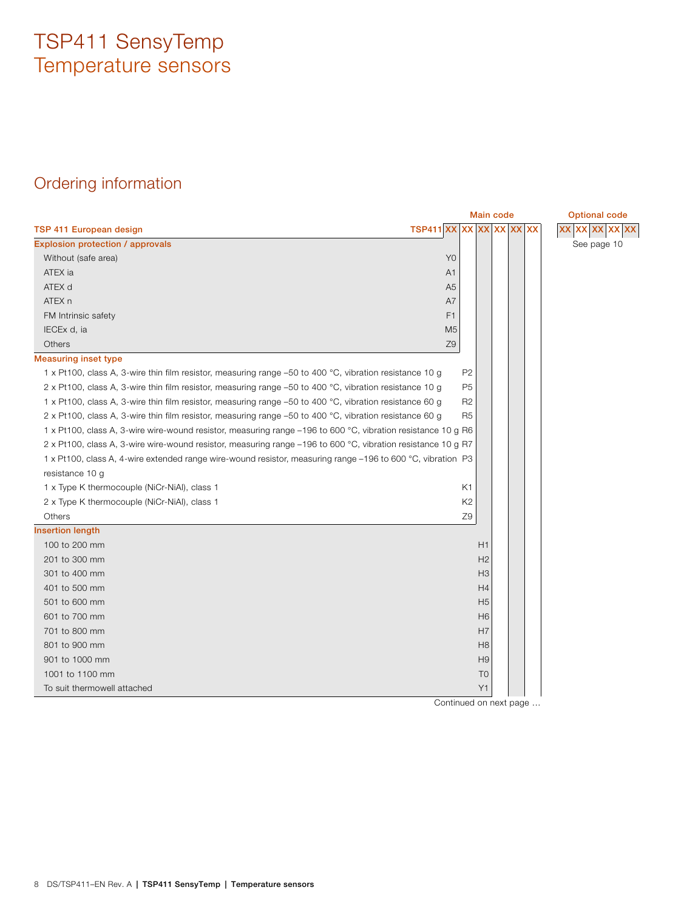# Ordering information

<span id="page-7-0"></span>

|                                                                                                              |                       |                | <b>Main code</b> |  | <b>Optional code</b> |
|--------------------------------------------------------------------------------------------------------------|-----------------------|----------------|------------------|--|----------------------|
| TSP 411 European design                                                                                      | TSP411 XX XX XX XX XX |                |                  |  | XX XX XX XX XX       |
| Explosion protection / approvals                                                                             |                       |                |                  |  | See page 10          |
| Without (safe area)                                                                                          |                       | Y <sub>0</sub> |                  |  |                      |
| ATEX ia                                                                                                      |                       | A1             |                  |  |                      |
| ATEX d                                                                                                       |                       | A <sub>5</sub> |                  |  |                      |
| ATEX n                                                                                                       |                       | A7             |                  |  |                      |
| FM Intrinsic safety                                                                                          |                       | F <sub>1</sub> |                  |  |                      |
| IECEx d, ia                                                                                                  |                       | M <sub>5</sub> |                  |  |                      |
| Others                                                                                                       |                       | Z9             |                  |  |                      |
| <b>Measuring inset type</b>                                                                                  |                       |                |                  |  |                      |
| 1 x Pt100, class A, 3-wire thin film resistor, measuring range -50 to 400 °C, vibration resistance 10 g      |                       | P <sub>2</sub> |                  |  |                      |
| 2 x Pt100, class A, 3-wire thin film resistor, measuring range -50 to 400 °C, vibration resistance 10 g      |                       | P <sub>5</sub> |                  |  |                      |
| 1 x Pt100, class A, 3-wire thin film resistor, measuring range -50 to 400 °C, vibration resistance 60 g      |                       | R <sub>2</sub> |                  |  |                      |
| 2 x Pt100, class A, 3-wire thin film resistor, measuring range -50 to 400 °C, vibration resistance 60 g      |                       | R <sub>5</sub> |                  |  |                      |
| 1 x Pt100, class A, 3-wire wire-wound resistor, measuring range -196 to 600 °C, vibration resistance 10 g R6 |                       |                |                  |  |                      |
| 2 x Pt100, class A, 3-wire wire-wound resistor, measuring range -196 to 600 °C, vibration resistance 10 g R7 |                       |                |                  |  |                      |
| 1 x Pt100, class A, 4-wire extended range wire-wound resistor, measuring range -196 to 600 °C, vibration P3  |                       |                |                  |  |                      |
| resistance 10 g                                                                                              |                       |                |                  |  |                      |
| 1 x Type K thermocouple (NiCr-NiAl), class 1                                                                 |                       | K <sub>1</sub> |                  |  |                      |
| 2 x Type K thermocouple (NiCr-NiAl), class 1                                                                 |                       | K <sub>2</sub> |                  |  |                      |
| Others                                                                                                       |                       | Z9             |                  |  |                      |
| <b>Insertion length</b>                                                                                      |                       |                |                  |  |                      |
| 100 to 200 mm                                                                                                |                       |                | H1               |  |                      |
| 201 to 300 mm                                                                                                |                       |                | H2               |  |                      |
| 301 to 400 mm                                                                                                |                       |                | H <sub>3</sub>   |  |                      |
| 401 to 500 mm                                                                                                |                       |                | H4               |  |                      |
| 501 to 600 mm                                                                                                |                       |                | H <sub>5</sub>   |  |                      |
| 601 to 700 mm                                                                                                |                       |                | H <sub>6</sub>   |  |                      |
| 701 to 800 mm                                                                                                |                       |                | H7               |  |                      |
| 801 to 900 mm                                                                                                |                       |                | H <sub>8</sub>   |  |                      |
| 901 to 1000 mm                                                                                               |                       |                | H <sub>9</sub>   |  |                      |
| 1001 to 1100 mm                                                                                              |                       |                | T <sub>0</sub>   |  |                      |
| To suit thermowell attached                                                                                  |                       |                | Y1               |  |                      |

Continued on next page …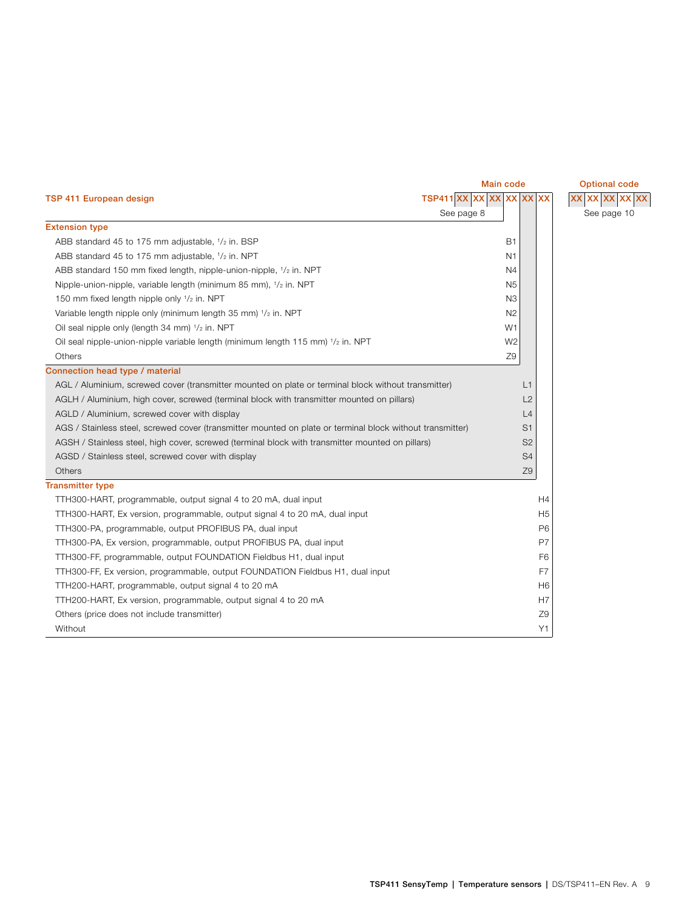<span id="page-8-0"></span>

| TSP 411 European design                                                                                   | TSP411 XX XX XX XX XX |                | XX XX XX XX XX |
|-----------------------------------------------------------------------------------------------------------|-----------------------|----------------|----------------|
|                                                                                                           | See page 8            |                | See page 10    |
| <b>Extension type</b>                                                                                     |                       |                |                |
| ABB standard 45 to 175 mm adjustable, 1/2 in. BSP                                                         | <b>B1</b>             |                |                |
| ABB standard 45 to 175 mm adjustable, 1/2 in. NPT                                                         | N <sub>1</sub>        |                |                |
| ABB standard 150 mm fixed length, nipple-union-nipple, 1/2 in. NPT                                        | N4                    |                |                |
| Nipple-union-nipple, variable length (minimum 85 mm), $1/2$ in. NPT                                       | N <sub>5</sub>        |                |                |
| 150 mm fixed length nipple only 1/2 in. NPT                                                               | N <sub>3</sub>        |                |                |
| Variable length nipple only (minimum length 35 mm) 1/2 in. NPT                                            | N <sub>2</sub>        |                |                |
| Oil seal nipple only (length 34 mm) $1/2$ in. NPT                                                         | W1                    |                |                |
| Oil seal nipple-union-nipple variable length (minimum length 115 mm) $1/z$ in. NPT                        | W <sub>2</sub>        |                |                |
| Others                                                                                                    | Z9                    |                |                |
| Connection head type / material                                                                           |                       |                |                |
| AGL / Aluminium, screwed cover (transmitter mounted on plate or terminal block without transmitter)       | L1                    |                |                |
| AGLH / Aluminium, high cover, screwed (terminal block with transmitter mounted on pillars)                | L2                    |                |                |
| AGLD / Aluminium, screwed cover with display                                                              | L4                    |                |                |
| AGS / Stainless steel, screwed cover (transmitter mounted on plate or terminal block without transmitter) | S <sub>1</sub>        |                |                |
| AGSH / Stainless steel, high cover, screwed (terminal block with transmitter mounted on pillars)          | S <sub>2</sub>        |                |                |
| AGSD / Stainless steel, screwed cover with display                                                        | S <sub>4</sub>        |                |                |
| Others                                                                                                    | Z9                    |                |                |
| <b>Transmitter type</b>                                                                                   |                       |                |                |
| TTH300-HART, programmable, output signal 4 to 20 mA, dual input                                           |                       | H4             |                |
| TTH300-HART, Ex version, programmable, output signal 4 to 20 mA, dual input                               |                       | H <sub>5</sub> |                |
| TTH300-PA, programmable, output PROFIBUS PA, dual input                                                   |                       | P <sub>6</sub> |                |
| TTH300-PA, Ex version, programmable, output PROFIBUS PA, dual input                                       |                       | P7             |                |
| TTH300-FF, programmable, output FOUNDATION Fieldbus H1, dual input                                        |                       | F <sub>6</sub> |                |
| TTH300-FF, Ex version, programmable, output FOUNDATION Fieldbus H1, dual input                            |                       | F7             |                |
| TTH200-HART, programmable, output signal 4 to 20 mA                                                       |                       | H <sub>6</sub> |                |
| TTH200-HART, Ex version, programmable, output signal 4 to 20 mA                                           |                       | H <sub>7</sub> |                |
| Others (price does not include transmitter)                                                               |                       | Z9             |                |
| Without                                                                                                   |                       | Y1             |                |

### **Main code Optional code**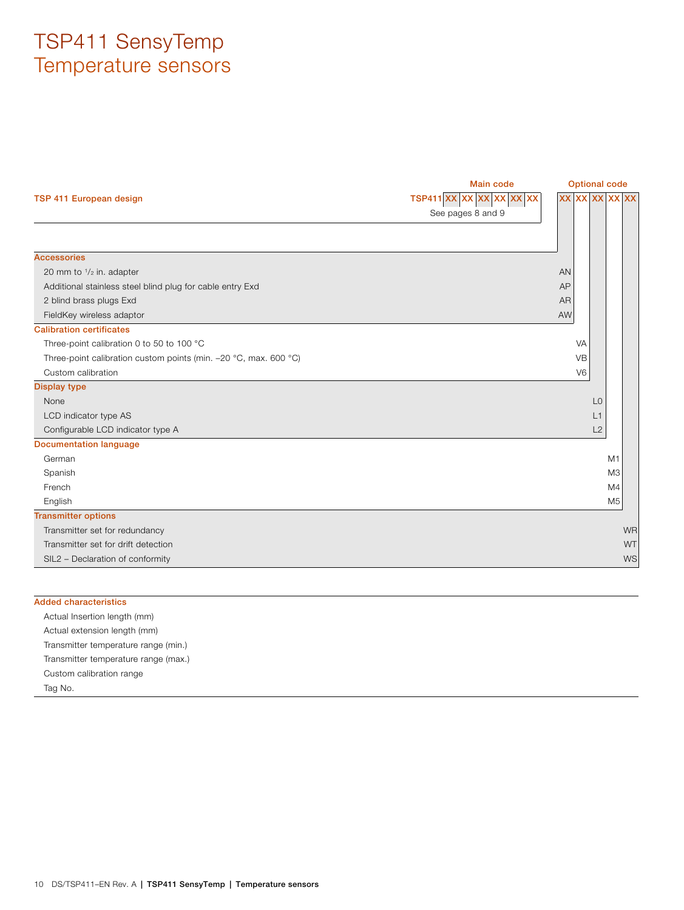<span id="page-9-0"></span>

|                                                                  | Main code             | <b>Optional code</b>  |                |
|------------------------------------------------------------------|-----------------------|-----------------------|----------------|
| TSP 411 European design                                          | TSP411 XX XX XX XX XX | <b>XX XX XX XX XX</b> |                |
|                                                                  | See pages 8 and 9     |                       |                |
|                                                                  |                       |                       |                |
|                                                                  |                       |                       |                |
| <b>Accessories</b>                                               |                       |                       |                |
| 20 mm to $\frac{1}{2}$ in. adapter                               |                       | AN                    |                |
| Additional stainless steel blind plug for cable entry Exd        |                       | AP                    |                |
| 2 blind brass plugs Exd                                          |                       | <b>AR</b>             |                |
| FieldKey wireless adaptor                                        |                       | AW                    |                |
| <b>Calibration certificates</b>                                  |                       |                       |                |
| Three-point calibration 0 to 50 to 100 °C                        |                       | VA                    |                |
| Three-point calibration custom points (min. -20 °C, max. 600 °C) |                       | <b>VB</b>             |                |
| Custom calibration                                               |                       | V <sub>6</sub>        |                |
| <b>Display type</b>                                              |                       |                       |                |
| None                                                             |                       | L <sub>0</sub>        |                |
| LCD indicator type AS                                            |                       | L1                    |                |
| Configurable LCD indicator type A                                |                       | L2                    |                |
| <b>Documentation language</b>                                    |                       |                       |                |
| German                                                           |                       |                       | M1             |
| Spanish                                                          |                       |                       | M <sub>3</sub> |
| French                                                           |                       |                       | M4             |
| English                                                          |                       |                       | M <sub>5</sub> |
| <b>Transmitter options</b>                                       |                       |                       |                |
| Transmitter set for redundancy                                   |                       |                       | <b>WR</b>      |
| Transmitter set for drift detection                              |                       |                       | <b>WT</b>      |
| SIL2 - Declaration of conformity                                 |                       |                       | WS             |

| <b>Added characteristics</b>         |  |
|--------------------------------------|--|
| Actual Insertion length (mm)         |  |
| Actual extension length (mm)         |  |
| Transmitter temperature range (min.) |  |
| Transmitter temperature range (max.) |  |
| Custom calibration range             |  |
| Tag No.                              |  |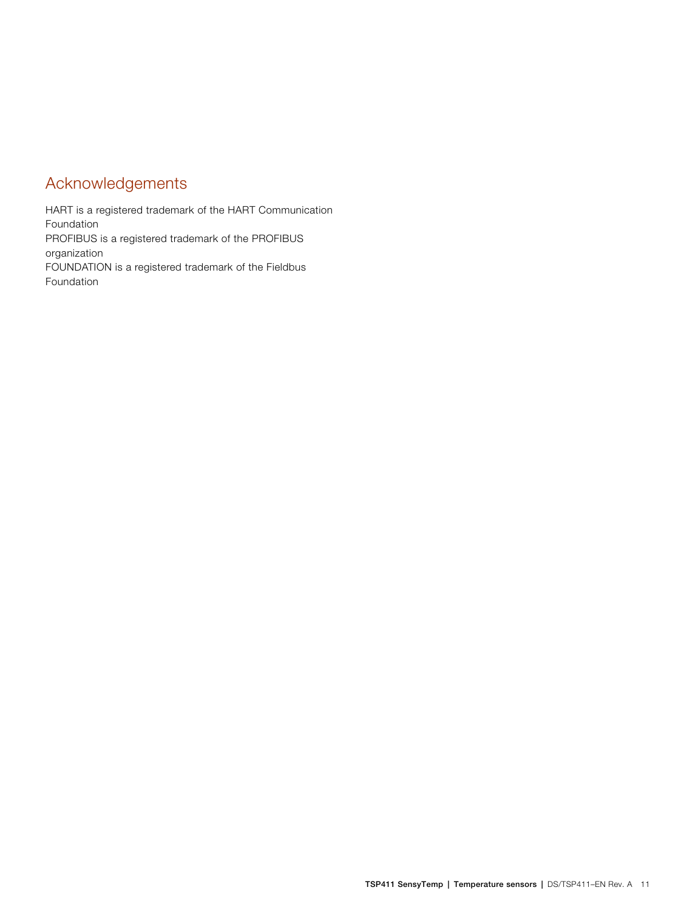# Acknowledgements

HART is a registered trademark of the HART Communication Foundation PROFIBUS is a registered trademark of the PROFIBUS organization FOUNDATION is a registered trademark of the Fieldbus Foundation